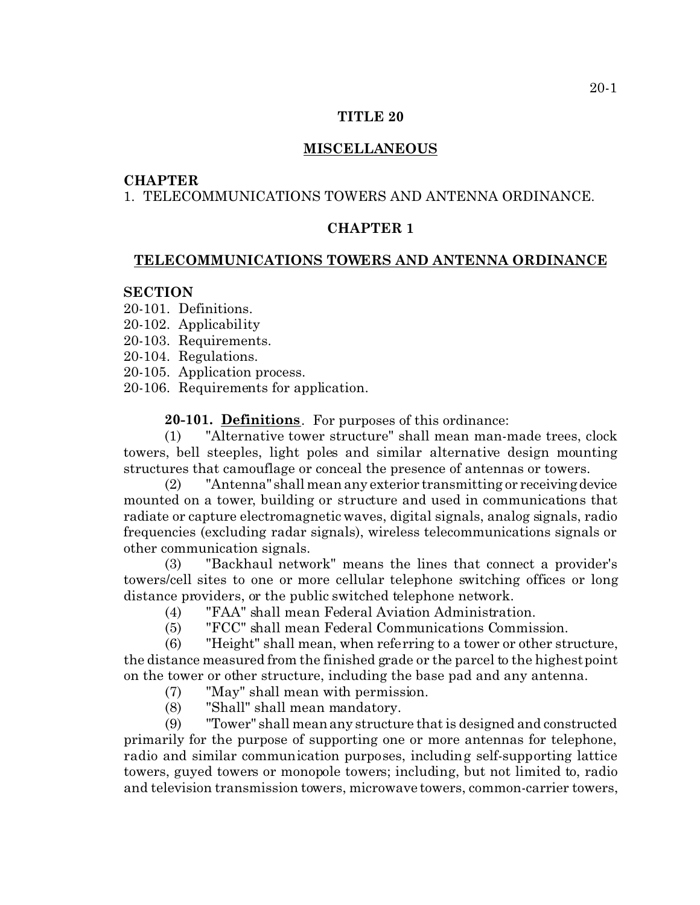#### **TITLE 20**

## **MISCELLANEOUS**

#### **CHAPTER**

# 1. TELECOMMUNICATIONS TOWERS AND ANTENNA ORDINANCE.

## **CHAPTER 1**

#### **TELECOMMUNICATIONS TOWERS AND ANTENNA ORDINANCE**

## **SECTION**

- 20-101. Definitions.
- 20-102. Applicability
- 20-103. Requirements.
- 20-104. Regulations.
- 20-105. Application process.
- 20-106. Requirements for application.

**20-101. Definitions**. For purposes of this ordinance:

(1) "Alternative tower structure" shall mean man-made trees, clock towers, bell steeples, light poles and similar alternative design mounting structures that camouflage or conceal the presence of antennas or towers.

(2) "Antenna" shall mean any exterior transmitting or receivingdevice mounted on a tower, building or structure and used in communications that radiate or capture electromagnetic waves, digital signals, analog signals, radio frequencies (excluding radar signals), wireless telecommunications signals or other communication signals.

(3) "Backhaul network" means the lines that connect a provider's towers/cell sites to one or more cellular telephone switching offices or long distance providers, or the public switched telephone network.

- (4) "FAA" shall mean Federal Aviation Administration.
- (5) "FCC" shall mean Federal Communications Commission.

(6) "Height" shall mean, when referring to a tower or other structure, the distance measured from the finished grade or the parcel to the highest point on the tower or other structure, including the base pad and any antenna.

- (7) "May" shall mean with permission.
- (8) "Shall" shall mean mandatory.

(9) "Tower" shall mean any structure that is designed and constructed primarily for the purpose of supporting one or more antennas for telephone, radio and similar communication purposes, including self-supporting lattice towers, guyed towers or monopole towers; including, but not limited to, radio and television transmission towers, microwave towers, common-carrier towers,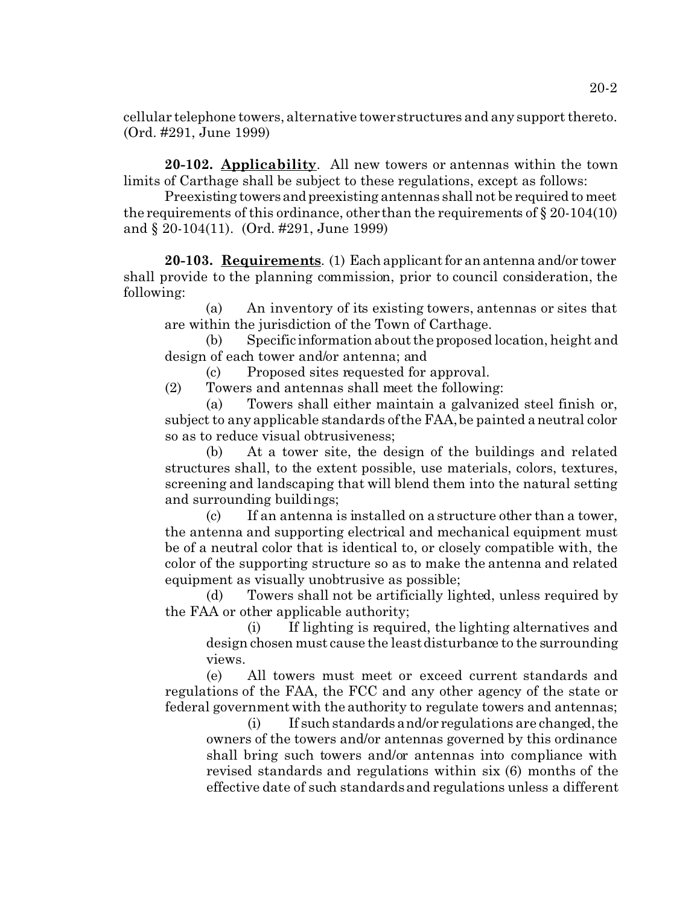cellular telephone towers, alternative tower structures and any support thereto. (Ord. #291, June 1999)

**20-102. Applicability**. All new towers or antennas within the town limits of Carthage shall be subject to these regulations, except as follows:

Preexisting towersandpreexisting antennas shall not be required to meet the requirements of this ordinance, other than the requirements of  $\S 20-104(10)$ and § 20-104(11). (Ord. #291, June 1999)

**20-103. Requirements**. (1) Each applicant for an antenna and/or tower shall provide to the planning commission, prior to council consideration, the following:

(a) An inventory of its existing towers, antennas or sites that are within the jurisdiction of the Town of Carthage.

(b) Specific information about theproposed location, height and design of each tower and/or antenna; and

(c) Proposed sites requested for approval.

(2) Towers and antennas shall meet the following:

(a) Towers shall either maintain a galvanized steel finish or, subject to any applicable standards of the FAA, be painted a neutral color so as to reduce visual obtrusiveness;

(b) At a tower site, the design of the buildings and related structures shall, to the extent possible, use materials, colors, textures, screening and landscaping that will blend them into the natural setting and surrounding buildings;

(c) If an antenna is installed on a structure other than a tower, the antenna and supporting electrical and mechanical equipment must be of a neutral color that is identical to, or closely compatible with, the color of the supporting structure so as to make the antenna and related equipment as visually unobtrusive as possible;

(d) Towers shall not be artificially lighted, unless required by the FAA or other applicable authority;

(i) If lighting is required, the lighting alternatives and design chosen must cause the least disturbance to the surrounding views.

(e) All towers must meet or exceed current standards and regulations of the FAA, the FCC and any other agency of the state or federal government with the authority to regulate towers and antennas;

(i) If such standards and/or regulations are changed, the owners of the towers and/or antennas governed by this ordinance shall bring such towers and/or antennas into compliance with revised standards and regulations within six (6) months of the effective date of such standards and regulations unless a different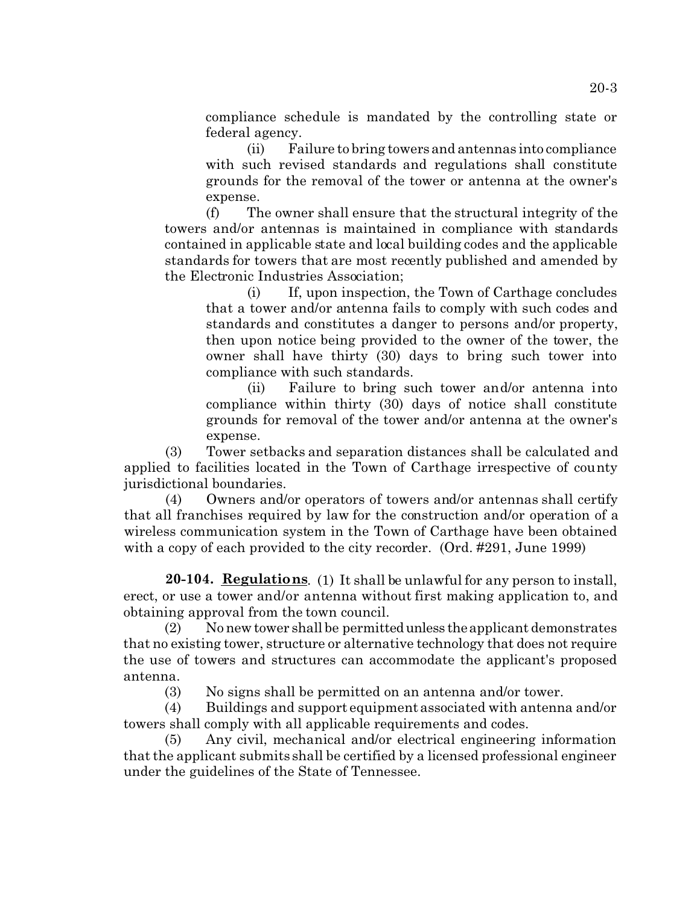compliance schedule is mandated by the controlling state or federal agency.

(ii) Failure to bring towers and antennas into compliance with such revised standards and regulations shall constitute grounds for the removal of the tower or antenna at the owner's expense.

(f) The owner shall ensure that the structural integrity of the towers and/or antennas is maintained in compliance with standards contained in applicable state and local building codes and the applicable standards for towers that are most recently published and amended by the Electronic Industries Association;

(i) If, upon inspection, the Town of Carthage concludes that a tower and/or antenna fails to comply with such codes and standards and constitutes a danger to persons and/or property, then upon notice being provided to the owner of the tower, the owner shall have thirty (30) days to bring such tower into compliance with such standards.

(ii) Failure to bring such tower and/or antenna into compliance within thirty (30) days of notice shall constitute grounds for removal of the tower and/or antenna at the owner's expense.

(3) Tower setbacks and separation distances shall be calculated and applied to facilities located in the Town of Carthage irrespective of county jurisdictional boundaries.

(4) Owners and/or operators of towers and/or antennas shall certify that all franchises required by law for the construction and/or operation of a wireless communication system in the Town of Carthage have been obtained with a copy of each provided to the city recorder. (Ord. #291, June 1999)

**20-104. Regulations**. (1) It shall be unlawful for any person to install, erect, or use a tower and/or antenna without first making application to, and obtaining approval from the town council.

(2) No new tower shall be permittedunless the applicant demonstrates that no existing tower, structure or alternative technology that does not require the use of towers and structures can accommodate the applicant's proposed antenna.

(3) No signs shall be permitted on an antenna and/or tower.

(4) Buildings and support equipment associated with antenna and/or towers shall comply with all applicable requirements and codes.

(5) Any civil, mechanical and/or electrical engineering information that the applicant submits shall be certified by a licensed professional engineer under the guidelines of the State of Tennessee.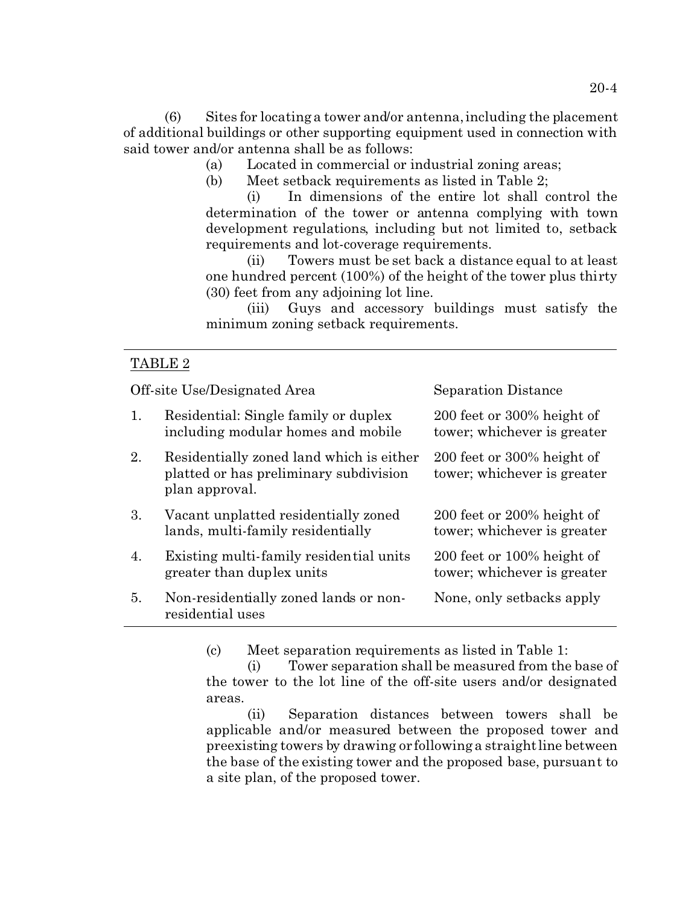(6) Sites for locating a tower and/or antenna, including the placement of additional buildings or other supporting equipment used in connection with said tower and/or antenna shall be as follows:

- (a) Located in commercial or industrial zoning areas;
- (b) Meet setback requirements as listed in Table 2;

(i) In dimensions of the entire lot shall control the determination of the tower or antenna complying with town development regulations, including but not limited to, setback requirements and lot-coverage requirements.

(ii) Towers must be set back a distance equal to at least one hundred percent (100%) of the height of the tower plus thirty (30) feet from any adjoining lot line.

(iii) Guys and accessory buildings must satisfy the minimum zoning setback requirements.

## TABLE 2

Off-site Use/Designated Area Separation Distance

| 1. | Residential: Single family or duplex<br>including modular homes and mobile                           | 200 feet or 300% height of<br>tower; whichever is greater |
|----|------------------------------------------------------------------------------------------------------|-----------------------------------------------------------|
| 2. | Residentially zoned land which is either<br>platted or has preliminary subdivision<br>plan approval. | 200 feet or 300% height of<br>tower; whichever is greater |
| 3. | Vacant unplatted residentially zoned<br>lands, multi-family residentially                            | 200 feet or 200% height of<br>tower; whichever is greater |
| 4. | Existing multi-family residential units<br>greater than duplex units                                 | 200 feet or 100% height of<br>tower; whichever is greater |
| 5. | Non-residentially zoned lands or non-<br>residential uses                                            | None, only setbacks apply                                 |

(c) Meet separation requirements as listed in Table 1:

(i) Tower separation shall be measured from the base of the tower to the lot line of the off-site users and/or designated areas.

(ii) Separation distances between towers shall be applicable and/or measured between the proposed tower and preexisting towers by drawing or following a straight line between the base of the existing tower and the proposed base, pursuant to a site plan, of the proposed tower.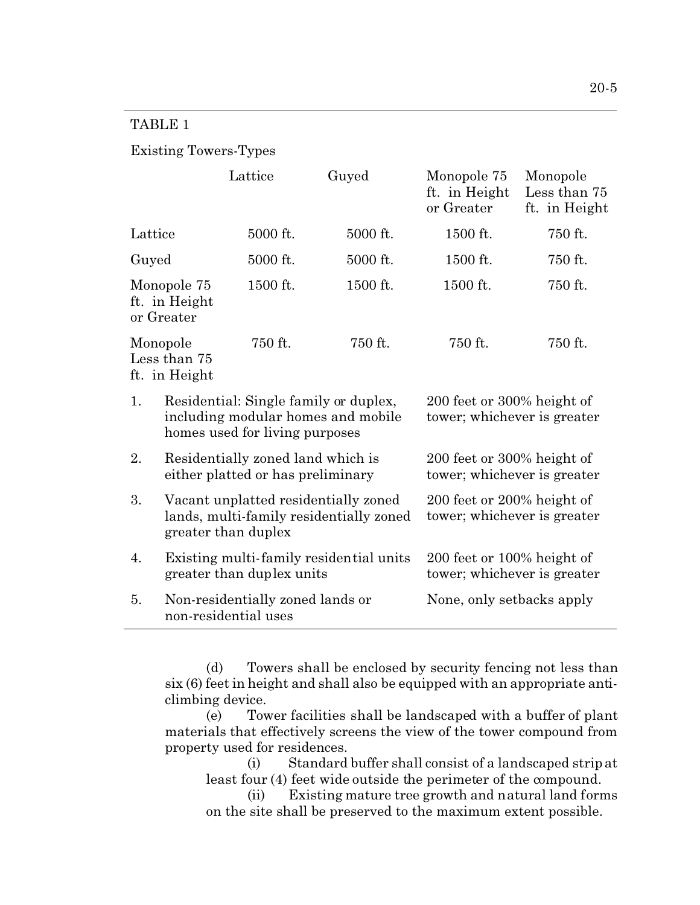# TABLE 1

# Existing Towers-Types

|                                            |                                                                                                               | Lattice                          | Guyed                                                     | Monopole 75<br>ft. in Height<br>or Greater                     | Monopole<br>Less than 75<br>ft. in Height |
|--------------------------------------------|---------------------------------------------------------------------------------------------------------------|----------------------------------|-----------------------------------------------------------|----------------------------------------------------------------|-------------------------------------------|
| Lattice                                    |                                                                                                               | 5000 ft.                         | 5000 ft.                                                  | 1500 ft.                                                       | 750 ft.                                   |
| Guyed                                      |                                                                                                               | 5000 ft.                         | 5000 ft.                                                  | 1500 ft.                                                       | 750 ft.                                   |
| Monopole 75<br>ft. in Height<br>or Greater |                                                                                                               | 1500 ft.                         | 1500 ft.                                                  | 1500 ft.                                                       | 750 ft.                                   |
| Monopole<br>Less than 75<br>ft. in Height  |                                                                                                               | 750 ft.                          | 750 ft.                                                   | 750 ft.                                                        | 750 ft.                                   |
| 1.                                         | Residential: Single family or duplex,<br>including modular homes and mobile<br>homes used for living purposes |                                  | 200 feet or 300% height of<br>tower; whichever is greater |                                                                |                                           |
| 2.                                         | Residentially zoned land which is<br>either platted or has preliminary                                        |                                  |                                                           | 200 feet or 300% height of<br>tower; whichever is greater      |                                           |
| 3.                                         | Vacant unplatted residentially zoned<br>lands, multi-family residentially zoned<br>greater than duplex        |                                  |                                                           | 200 feet or 200% height of<br>tower; whichever is greater      |                                           |
| 4.                                         | Existing multi-family residential units<br>greater than duplex units                                          |                                  |                                                           | $200$ feet or $100\%$ height of<br>tower; whichever is greater |                                           |
| 5.                                         | non-residential uses                                                                                          | Non-residentially zoned lands or | None, only setbacks apply                                 |                                                                |                                           |

(d) Towers shall be enclosed by security fencing not less than six (6) feet in height and shall also be equipped with an appropriate anticlimbing device.

(e) Tower facilities shall be landscaped with a buffer of plant materials that effectively screens the view of the tower compound from property used for residences.

(i) Standard buffer shall consist of a landscaped strip at least four (4) feet wide outside the perimeter of the compound.

(ii) Existing mature tree growth and natural land forms on the site shall be preserved to the maximum extent possible.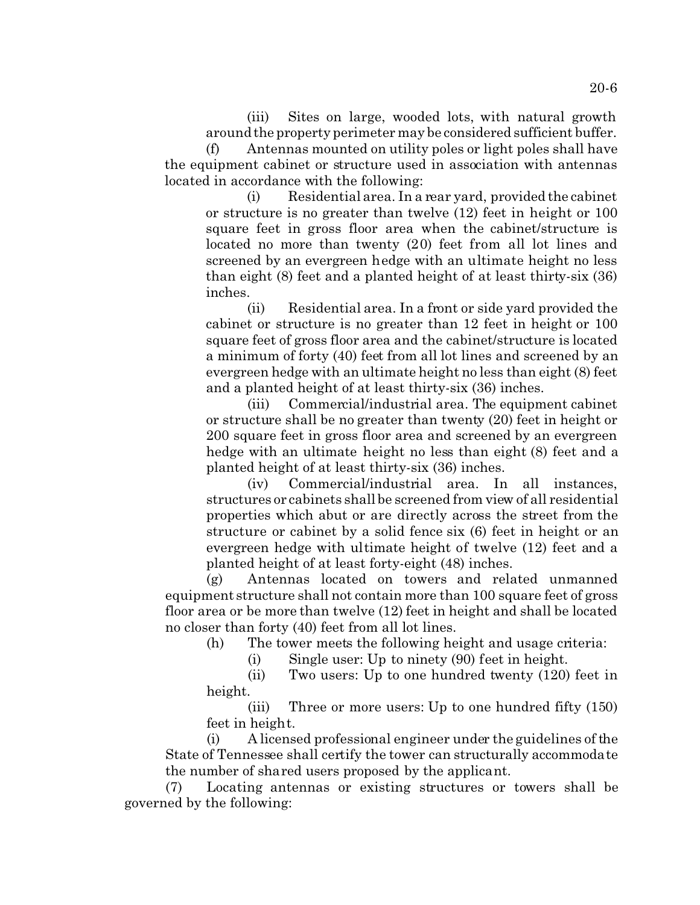(iii) Sites on large, wooded lots, with natural growth around the property perimeter may be considered sufficient buffer.

(f) Antennas mounted on utility poles or light poles shall have the equipment cabinet or structure used in association with antennas located in accordance with the following:

(i) Residential area. In a rear yard, provided the cabinet or structure is no greater than twelve (12) feet in height or 100 square feet in gross floor area when the cabinet/structure is located no more than twenty (20) feet from all lot lines and screened by an evergreen hedge with an ultimate height no less than eight (8) feet and a planted height of at least thirty-six (36) inches.

(ii) Residential area. In a front or side yard provided the cabinet or structure is no greater than 12 feet in height or 100 square feet of gross floor area and the cabinet/structure is located a minimum of forty (40) feet from all lot lines and screened by an evergreen hedge with an ultimate height no less than eight (8) feet and a planted height of at least thirty-six (36) inches.

(iii) Commercial/industrial area. The equipment cabinet or structure shall be no greater than twenty (20) feet in height or 200 square feet in gross floor area and screened by an evergreen hedge with an ultimate height no less than eight  $(8)$  feet and a planted height of at least thirty-six (36) inches.

(iv) Commercial/industrial area. In all instances, structures or cabinets shall be screened from view of all residential properties which abut or are directly across the street from the structure or cabinet by a solid fence six (6) feet in height or an evergreen hedge with ultimate height of twelve (12) feet and a planted height of at least forty-eight (48) inches.

(g) Antennas located on towers and related unmanned equipment structure shall not contain more than 100 square feet of gross floor area or be more than twelve (12) feet in height and shall be located no closer than forty (40) feet from all lot lines.

(h) The tower meets the following height and usage criteria:

(i) Single user: Up to ninety (90) feet in height.

(ii) Two users: Up to one hundred twenty (120) feet in height.

(iii) Three or more users: Up to one hundred fifty (150) feet in height.

(i) A licensed professional engineer under the guidelines of the State of Tennessee shall certify the tower can structurally accommodate the number of shared users proposed by the applicant.

(7) Locating antennas or existing structures or towers shall be governed by the following: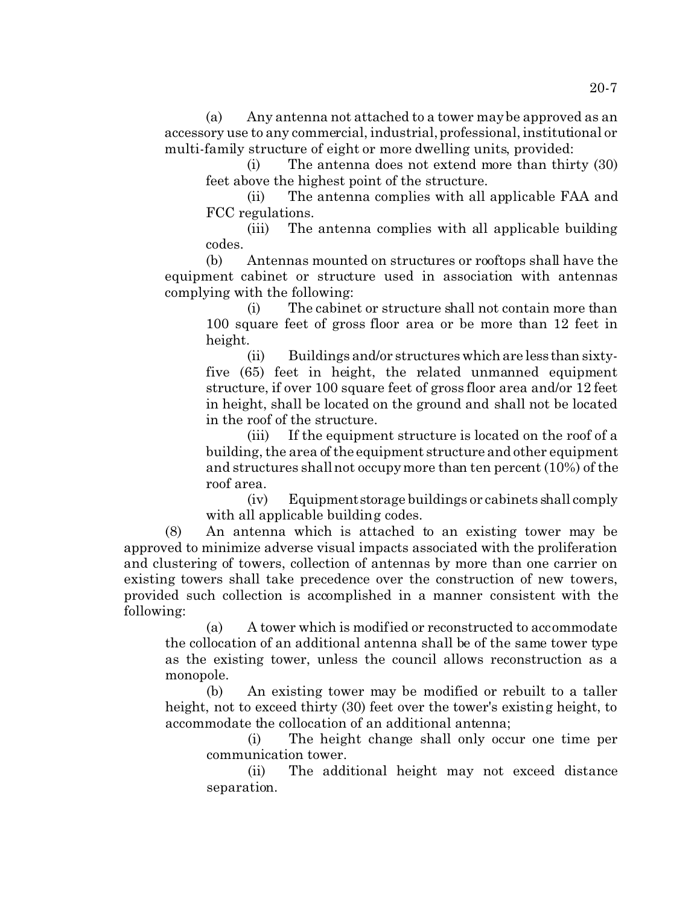(a) Any antenna not attached to a tower may be approved as an accessory use to any commercial, industrial, professional, institutional or multi-family structure of eight or more dwelling units, provided:

(i) The antenna does not extend more than thirty (30) feet above the highest point of the structure.

(ii) The antenna complies with all applicable FAA and FCC regulations.

(iii) The antenna complies with all applicable building codes.

(b) Antennas mounted on structures or rooftops shall have the equipment cabinet or structure used in association with antennas complying with the following:

(i) The cabinet or structure shall not contain more than 100 square feet of gross floor area or be more than 12 feet in height.

(ii) Buildings and/or structures which are less than sixtyfive (65) feet in height, the related unmanned equipment structure, if over 100 square feet of gross floor area and/or 12 feet in height, shall be located on the ground and shall not be located in the roof of the structure.

(iii) If the equipment structure is located on the roof of a building, the area of the equipment structure and other equipment and structures shall not occupy more than ten percent (10%) of the roof area.

(iv) Equipmentstorage buildings or cabinets shall comply with all applicable building codes.

(8) An antenna which is attached to an existing tower may be approved to minimize adverse visual impacts associated with the proliferation and clustering of towers, collection of antennas by more than one carrier on existing towers shall take precedence over the construction of new towers, provided such collection is accomplished in a manner consistent with the following:

(a) A tower which is modified or reconstructed to accommodate the collocation of an additional antenna shall be of the same tower type as the existing tower, unless the council allows reconstruction as a monopole.

(b) An existing tower may be modified or rebuilt to a taller height, not to exceed thirty (30) feet over the tower's existing height, to accommodate the collocation of an additional antenna;

(i) The height change shall only occur one time per communication tower.

(ii) The additional height may not exceed distance separation.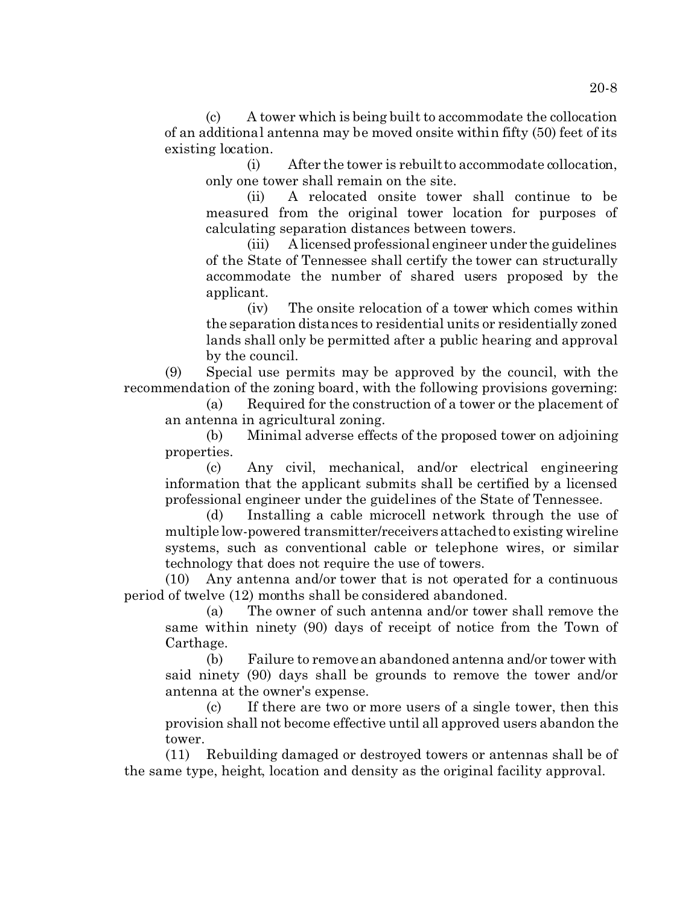(c) A tower which is being built to accommodate the collocation of an additional antenna may be moved onsite within fifty (50) feet of its existing location.

(i) After the tower is rebuilt to accommodate collocation, only one tower shall remain on the site.

(ii) A relocated onsite tower shall continue to be measured from the original tower location for purposes of calculating separation distances between towers.

(iii) A licensed professional engineer under the guidelines of the State of Tennessee shall certify the tower can structurally accommodate the number of shared users proposed by the applicant.

(iv) The onsite relocation of a tower which comes within the separation distances to residential units or residentially zoned lands shall only be permitted after a public hearing and approval by the council.

(9) Special use permits may be approved by the council, with the recommendation of the zoning board, with the following provisions governing:

(a) Required for the construction of a tower or the placement of an antenna in agricultural zoning.

(b) Minimal adverse effects of the proposed tower on adjoining properties.

(c) Any civil, mechanical, and/or electrical engineering information that the applicant submits shall be certified by a licensed professional engineer under the guidelines of the State of Tennessee.

(d) Installing a cable microcell network through the use of multiple low-powered transmitter/receivers attached to existing wireline systems, such as conventional cable or telephone wires, or similar technology that does not require the use of towers.

(10) Any antenna and/or tower that is not operated for a continuous period of twelve (12) months shall be considered abandoned.

(a) The owner of such antenna and/or tower shall remove the same within ninety (90) days of receipt of notice from the Town of Carthage.

(b) Failure to remove an abandoned antenna and/or tower with said ninety (90) days shall be grounds to remove the tower and/or antenna at the owner's expense.

(c) If there are two or more users of a single tower, then this provision shall not become effective until all approved users abandon the tower.

(11) Rebuilding damaged or destroyed towers or antennas shall be of the same type, height, location and density as the original facility approval.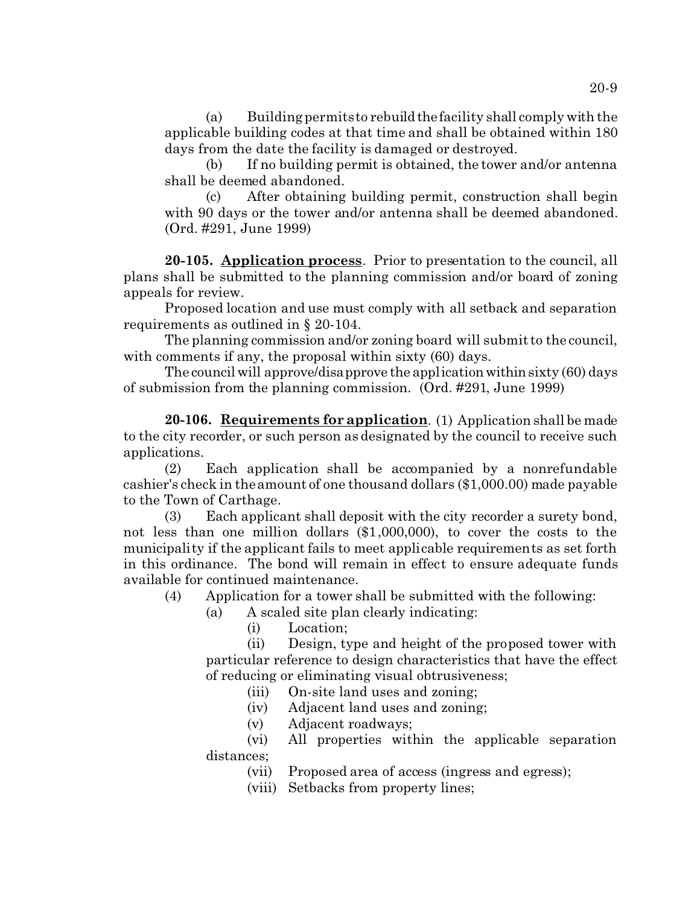(a) Building permits to rebuild thefacility shall comply with the applicable building codes at that time and shall be obtained within 180 days from the date the facility is damaged or destroyed.

(b) If no building permit is obtained, the tower and/or antenna shall be deemed abandoned.

(c) After obtaining building permit, construction shall begin with 90 days or the tower and/or antenna shall be deemed abandoned. (Ord. #291, June 1999)

**20-105. Application process**. Prior to presentation to the council, all plans shall be submitted to the planning commission and/or board of zoning appeals for review.

Proposed location and use must comply with all setback and separation requirements as outlined in § 20-104.

The planning commission and/or zoning board will submit to the council, with comments if any, the proposal within sixty (60) days.

The council will approve/disapprove the application within sixty  $(60)$  days of submission from the planning commission. (Ord. #291, June 1999)

**20-106. Requirements for application**. (1) Application shall be made to the city recorder, or such person as designated by the council to receive such applications.

(2) Each application shall be accompanied by a nonrefundable cashier's check in the amount of one thousand dollars (\$1,000.00) made payable to the Town of Carthage.

(3) Each applicant shall deposit with the city recorder a surety bond, not less than one million dollars (\$1,000,000), to cover the costs to the municipality if the applicant fails to meet applicable requirements as set forth in this ordinance. The bond will remain in effect to ensure adequate funds available for continued maintenance.

(4) Application for a tower shall be submitted with the following:

- (a) A scaled site plan clearly indicating:
	- (i) Location;

(ii) Design, type and height of the proposed tower with particular reference to design characteristics that have the effect of reducing or eliminating visual obtrusiveness;

(iii) On-site land uses and zoning;

(iv) Adjacent land uses and zoning;

(v) Adjacent roadways;

(vi) All properties within the applicable separation distances;

(vii) Proposed area of access (ingress and egress);

(viii) Setbacks from property lines;